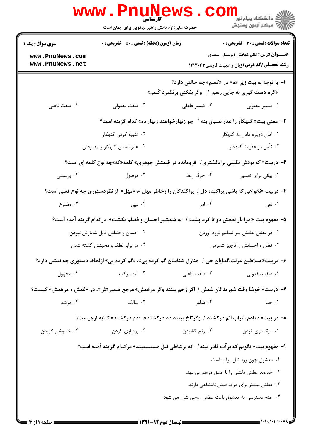|                                                                                                 | www.PnuNews                                                                                            |                                                     | ر دانشڪاه پيام نور <mark>−</mark><br>ا∛ مرکز آزمون وسنڊش        |  |  |
|-------------------------------------------------------------------------------------------------|--------------------------------------------------------------------------------------------------------|-----------------------------------------------------|-----------------------------------------------------------------|--|--|
|                                                                                                 | حضرت علی(ع): دانش راهبر نیکویی برای ایمان است                                                          |                                                     |                                                                 |  |  |
| <b>سری سوال :</b> یک ۱                                                                          | <b>زمان آزمون (دقیقه) : تستی : 50 ٪ تشریحی : 0</b>                                                     |                                                     | <b>تعداد سوالات : تستی : 30 ٪ تشریحی : 0</b>                    |  |  |
| www.PnuNews.com<br>www.PnuNews.net                                                              |                                                                                                        |                                                     | <b>عنـــوان درس:</b> نظم ۵بخش ۱بوستان سعدی                      |  |  |
|                                                                                                 |                                                                                                        |                                                     | <b>رشته تحصیلی/کد درس:</b> زبان و ادبیات فارسی ۱۲۱۳۰۴۳          |  |  |
|                                                                                                 | ا- با توجه به بیت زیر «م» در «کَسم» چه حالتی دارد؟                                                     |                                                     |                                                                 |  |  |
|                                                                                                 |                                                                                                        | «گرم دست گیری به جایی رسم ۱ وگر بفکنی برنگیرد کَسم» |                                                                 |  |  |
| ۰۴ صفت فاعلی                                                                                    | ۰۳ صفت مفعولی                                                                                          | ۰۲ ضمیر فاعلی                                       | ۰۱ ضمیر مفعولی                                                  |  |  |
|                                                                                                 | ۲–  معنی بیت« گنهکار را عذر نسیان بنه ۱  چو زنهارخواهند زنهار ده» کدام گزینه است؟                      |                                                     |                                                                 |  |  |
|                                                                                                 | ۰۲ تنبیه کردن گنهکار                                                                                   |                                                     | ۰۱ امان دوباره دادن به گنهکار                                   |  |  |
| ۰۳ تأمل در عقوبت گنهکار<br>۰۴ عذر نسیان گنهکار را پذیرفتن                                       |                                                                                                        |                                                     |                                                                 |  |  |
| <b>۳</b> - دربیت« که بودش نگینی برانگشتری/ فرومانده در قیمتش جوهری» کلمه«که»چه نوع کلمه ای است؟ |                                                                                                        |                                                     |                                                                 |  |  |
| ۰۴ پرسشی                                                                                        | ۰۳ موصول                                                                                               | ۰۲ حرف ربط                                          | ٠١ بياني براي تفسير                                             |  |  |
|                                                                                                 | ۴- دربیت «نخواهی که باشی پراگنده دل / پراکندگان را زخاطر مهل »، «مهل» از نظردستوری چه نوع فعلی است؟    |                                                     |                                                                 |  |  |
| ۰۴ مضارع                                                                                        | ۰۳ نهی                                                                                                 | ۰۲ امر                                              | ۰۱ نفی                                                          |  |  |
|                                                                                                 | ۵– مفهوم بیت « مرا بار لطفش دو تا کرد پشت /  به شمشیر احسان و فضلم بکشت» درکدام گزینه آمده است؟        |                                                     |                                                                 |  |  |
|                                                                                                 | ۰۲ احسان و فضلش قابل شمارش نبودن                                                                       |                                                     | ۰۱ در مقابل لطفش سر تسلیم فرود آوردن                            |  |  |
|                                                                                                 | ۰۴ در برابر لطف و محبتش کشته شدن                                                                       |                                                     | ۰۳ فضل و احسانش را ناچیز شمردن                                  |  |  |
|                                                                                                 | ۶– دربیت« سلاطین عزلت،گدایان حی /   منازل شناسان گم کرده پی»، «گم کرده پی» ازلحاظ دستوری چه نقشی دارد؟ |                                                     |                                                                 |  |  |
| ۰۴ مجهول                                                                                        | ۰۳ قید مرکب                                                                                            | ۰۲ صفت فاعلی                                        | ٠١ صفت مفعولي                                                   |  |  |
|                                                                                                 | ۷– دربیت« خوشا وقت شوریدگان غمش / اگر زخم بینند وگر مرهمش» مرجع ضمیر«ش»، در «غمش و مرهمش» کیست؟        |                                                     |                                                                 |  |  |
| ۰۴ مرشد                                                                                         | $\mathcal{F}$ . سالک                                                                                   | ۰۲ شاعر                                             | ۰۱ خدا                                                          |  |  |
|                                                                                                 | ۸– در بیت« دمادم شراب الم درکشند /  وگرتلخ بینند دم درکشند»، «دم درکشند» کنایه ازچیست؟                 |                                                     |                                                                 |  |  |
| ۰۴ خاموشی گزیدن                                                                                 | ۰۳ بردباری کردن                                                                                        | ۰۲ رنج کشیدن                                        | ۰۱ میگساری کردن                                                 |  |  |
|                                                                                                 | ۹- مفهوم بیت« نگویم که برآب قادر نیند /   که برشاطی نیل مستسقیند» درکدام گزینه آمده است؟               |                                                     |                                                                 |  |  |
|                                                                                                 |                                                                                                        |                                                     |                                                                 |  |  |
| ٠١ معشوق چون رود نيل پرآب است.<br>۰۲ خداوند عطش دلشان را با عشق مرهم می نهد.                    |                                                                                                        |                                                     |                                                                 |  |  |
| ۰۳ عطش بیشتر برای درک فیض نامتناهی دارند.                                                       |                                                                                                        |                                                     |                                                                 |  |  |
| ۰۴ عدم دسترسی به معشوق باعت عطش روحی شان می شود.                                                |                                                                                                        |                                                     |                                                                 |  |  |
|                                                                                                 |                                                                                                        |                                                     |                                                                 |  |  |
|                                                                                                 |                                                                                                        |                                                     | $=$ $\frac{1}{11}$ $\frac{1}{11}$ $\frac{1}{11}$ $\frac{1}{11}$ |  |  |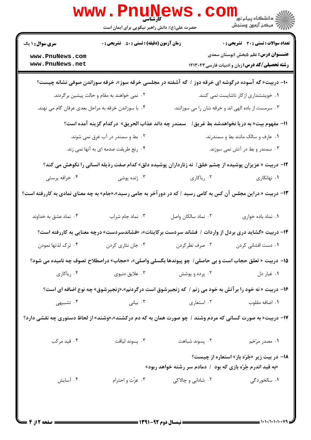|                                                                                                                | WWW . PIN<br>کا, شناسی<br>حضرت علی(ع): دانش راهبر نیکویی برای ایمان است                                            |                                                                                             | دانشگاه پيام نور ■<br>//<br>// مرکز آزمون وسنجش                                                      |  |  |  |
|----------------------------------------------------------------------------------------------------------------|--------------------------------------------------------------------------------------------------------------------|---------------------------------------------------------------------------------------------|------------------------------------------------------------------------------------------------------|--|--|--|
| <b>سری سوال : ۱ یک</b>                                                                                         | <b>زمان آزمون (دقیقه) : تستی : 50 ٪ تشریحی : 0</b>                                                                 |                                                                                             | <b>تعداد سوالات : تستی : 30 ٪ تشریحی : 0</b>                                                         |  |  |  |
| www.PnuNews.com<br>www.PnuNews.net                                                                             |                                                                                                                    |                                                                                             | <b>عنـــوان درس:</b> نظم ۵بخش ۱بوستان سعدی<br><b>رشته تحصیلی/کد درس:</b> زبان و ادبیات فارسی ۱۲۱۳۰۴۳ |  |  |  |
|                                                                                                                | +۱- دربیت« گه آسوده درگوشه ای خرقه دوز / گه آشفته در مجلسی خرقه سوز»، خرقه سوزاندن صوفی نشانه چیست؟                |                                                                                             |                                                                                                      |  |  |  |
| ۰۲ نمی خواهند به مقام و حالت پیشین برگردند.                                                                    |                                                                                                                    |                                                                                             | ۰۱ خویشتنداری از کار ناشایست نمی کنند.                                                               |  |  |  |
| ۰۴ با سوزاندن خرقه به مراحل بعدي عرفان گام مي نهند.                                                            |                                                                                                                    | ۰۳ سرمست از باده الهی اند و خرقه شان را می سوزانند.                                         |                                                                                                      |  |  |  |
|                                                                                                                | سمندر چه داند عذاب الحريق» دركدام گزينه آمده است؟<br>11- مفهوم بيت« به دريا نخواهدشد بط غريق/                      |                                                                                             |                                                                                                      |  |  |  |
| ۰۲ بط و سمندر در آب غرق نمی شوند.                                                                              |                                                                                                                    |                                                                                             | ۰۱ عارف و سالک مانند بط و سمندرند.                                                                   |  |  |  |
| ۰۴ رنج طریقت صدمه ای به آنها نمی زند.                                                                          |                                                                                                                    |                                                                                             | ۰۳ سمندر و بط در آتش نمی سوزند.                                                                      |  |  |  |
| 1۲- دربیت « عزیزان پوشیده از چشم خلق /  نه زنارداران پوشیده دلق» کدام صفت رذیله انسانی را نکوهش می کند؟        |                                                                                                                    |                                                                                             |                                                                                                      |  |  |  |
| ۰۴ خرافه پرستی                                                                                                 | ۰۳ ژنده پوشی                                                                                                       | ۰۲ ریاکاری                                                                                  | ۰۱ نهانکاری                                                                                          |  |  |  |
| ۱۳- دربیت « دراین مجلس آن کس به کامی رسید / که در دورآخر به جامی رسید»،«جام» به چه معنای نمادی به کاررفته است؟ |                                                                                                                    |                                                                                             |                                                                                                      |  |  |  |
| ۰۴ نماد عشق به خداوند                                                                                          | ۰۳ نماد جام شراب                                                                                                   | ٠٢ نماد سالكان واصل                                                                         | ٠١. نماد باده خوارى                                                                                  |  |  |  |
|                                                                                                                | ۱۴- دربیت «گشاید دری بردل از واردات / فشاند سردست برکاینات»، «فشاندسردست» درچه معنایی به کاررفته است؟              |                                                                                             |                                                                                                      |  |  |  |
| ۰۴ ترک لذتها نمودن                                                                                             | ۰۳ جان نثاری کردن                                                                                                  | ۰۲ صرف نظر کردن                                                                             | ۰۱ دست افشانی کردن                                                                                   |  |  |  |
|                                                                                                                | 1۵- دربیت « تعلق حجاب است و بی حاصلی /  چو پیوندها بگسلی واصلی»، «حجاب» دراصطلاح تصوف چه نامیده می شود؟            |                                                                                             |                                                                                                      |  |  |  |
| ۰۴ رياكاري                                                                                                     | ۰۳ علايق دنيوي                                                                                                     | ۰۲ پرده و پوشش                                                                              | ۰۱ غبار دل                                                                                           |  |  |  |
| ۱۶- دربیت « نه خود را برآتش به خود می زنم / که زنجیرشوق است درگردنم»،«زنجیرشوق» چه نوع اضافه ای است؟           |                                                                                                                    |                                                                                             |                                                                                                      |  |  |  |
| ۰۴ تشبیهی                                                                                                      |                                                                                                                    | ۰۲ استعاری مسلم در ۲۰۰ استعاری به استعاری به استعاری به استعاری به استعاری به است $\cdot$ ۲ | ٠١. اضافه مقلوب                                                                                      |  |  |  |
| ۱۷- دربیت« به صورت کسانی که مردم وشند / چو صورت همان به که دم درکشند»،«وشند» از لحاظ دستوری چه نقشی دارد؟      |                                                                                                                    |                                                                                             |                                                                                                      |  |  |  |
| ۰۴ قید مرکب                                                                                                    | بسوند لياقت $\cdot$                                                                                                | ٠٢ پسوند شباهت                                                                              | ۰۱ مصدر مرّخم                                                                                        |  |  |  |
|                                                                                                                | <b>۱۸</b> - در بیت زیر «جُرّه باز» استعاره از چیست؟<br>«به قید اندرم جُرّه بازی که بود ۱ دمادم سر رشته خواهد ربود» |                                                                                             |                                                                                                      |  |  |  |
| ۰۴ آسایش                                                                                                       | ۰۳ عزّت و احترام                                                                                                   | ۲. شادابی و چالاکی                                                                          | ۰۱ سالخوردگی                                                                                         |  |  |  |
|                                                                                                                |                                                                                                                    |                                                                                             |                                                                                                      |  |  |  |

= 1+1+/1+1+1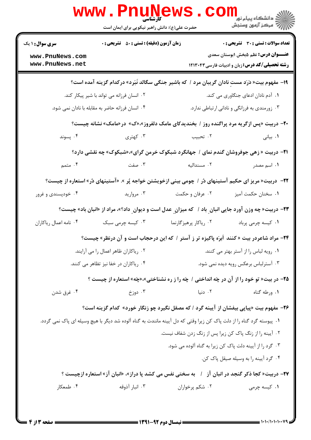|                                                                                                       | کارشناسی<br>حضرت علی(ع): دانش راهبر نیکویی برای ایمان است                                                            |                                               | ر دانشگاه پيام نور ■<br>رود ترمون وسنجش                                                              |  |
|-------------------------------------------------------------------------------------------------------|----------------------------------------------------------------------------------------------------------------------|-----------------------------------------------|------------------------------------------------------------------------------------------------------|--|
| <b>سری سوال : ۱ یک</b>                                                                                | <b>زمان آزمون (دقیقه) : تستی : 80 ٪ تشریحی : 0</b>                                                                   |                                               | <b>تعداد سوالات : تستی : 30 ٪ تشریحی : 0</b>                                                         |  |
| www.PnuNews.com<br>www.PnuNews.net                                                                    |                                                                                                                      |                                               | <b>عنـــوان درس:</b> نظم ۵بخش ۱بوستان سعدی<br><b>رشته تحصیلی/کد درس:</b> زبان و ادبیات فارسی ۱۲۱۳۰۴۳ |  |
|                                                                                                       | ۱۹- مفهوم بیت« دَرَد مستِ نادان گریبان مرد / که باشیر جنگی سگالد نَبَرد» درکدام گزینه آمده است؟                      |                                               |                                                                                                      |  |
| ۰۲ انسان فرزانه می تواند با شیر پیکار کند.                                                            |                                                                                                                      | ٠١. آدم نادان ادعای جنگاوری می کند.           |                                                                                                      |  |
| ۰۴ انسان فرزانه حاضر به مقابله با نادان نمی شود.                                                      |                                                                                                                      | ۰۳ زورمندی به فرزانگی و نادانی ارتباطی ندارد. |                                                                                                      |  |
|                                                                                                       | <b>۰۲</b> - دربیت «پس ازگریه مرد پراگنده روز / بخندیدکای مامک دلفروز»،«ک» در«مامک» نشانه چیست؟                       |                                               |                                                                                                      |  |
| ۰۴ پسوند                                                                                              | ۰۳ کهتری                                                                                                             | ۰۲ تحبيب                                      | ۰۱ بیانی                                                                                             |  |
|                                                                                                       | <b>۲۱</b> - دربیت « زهی جوفروشان گندم نمای / جهانگرد شبکوک خرمن گرای»،«شبکوک» چه نقشی دارد؟                          |                                               |                                                                                                      |  |
| ۰۴ متمم                                                                                               | ۰۳ صفت                                                                                                               | ۰۲ مسندالیه                                   | ۰۱ اسم مصدر                                                                                          |  |
|                                                                                                       | ۲۲−   دربیت« مریز ای حکیم آستینهای دُر / چومی بینی ازخویشتن خواجه پُر ». «آستینهای دُر» استعاره از چیست؟             |                                               |                                                                                                      |  |
| ۰۴ خودپسندی و غرور                                                                                    | ۰۳ مروارید                                                                                                           | ۰۲ عرفان و حکمت                               | ٠١. سخنان حكمت آميز                                                                                  |  |
|                                                                                                       | <b>۲۳</b> - دربیت« چه وزن آورد جایی انبان ِ باد / که میزان ِ عدل است و دیوان ِ داد؟»، مراد از «انبان باد» چیست؟      |                                               |                                                                                                      |  |
| ۰۴ نامه اعمال رياكاران                                                                                | ۰۳ کیسه چرمی سبک                                                                                                     | ۰۲ ریاکار پرهیزگارنما                         | ٠١ كيسه چرمى پرباد                                                                                   |  |
| <b>۲۴</b> – مراد شاعردر بیت « کنند اَبرَه پاکیزه تر ز آستر / که این درحجاب است و آن درنظر» چیست؟      |                                                                                                                      |                                               |                                                                                                      |  |
| ۰۱ رویه لباس را از آستر بهتر می کنند.<br>۰۲ ریاکاران ظاهر اعمال را می آرایند.                         |                                                                                                                      |                                               |                                                                                                      |  |
| ۰۴ ریاکاران در خفا نیز تظاهر می کنند.<br>۰۳ آسترلباس برعکس رویه دیده نمی شود.                         |                                                                                                                      |                                               |                                                                                                      |  |
| ۲۵- در بیت« تو خود را از آن در چَه انداختی / چَه را ز ره نشناختی»،«چَه» استعاره از چیست ؟             |                                                                                                                      |                                               |                                                                                                      |  |
| ۰۴ غرق شدن                                                                                            | دوزخ $\cdot$ ۳                                                                                                       | ۰۲ دنیا                                       | ۰۱ ورطه گناه                                                                                         |  |
| <b>۲۶</b> - مفهوم بیت «پیاپی بیفشان از آیینه گرد / که مصقل نگیرد چو زنگار خورد» کدام گزینه است؟       |                                                                                                                      |                                               |                                                                                                      |  |
|                                                                                                       | ۰۱ پیوسته گرد گناه را از دلت پاک کن زیرا وقتی که دل آیینه مانندت به گناه آلوده شد دیگر با هیچ وسیله ای پاک نمی گردد. |                                               |                                                                                                      |  |
|                                                                                                       |                                                                                                                      |                                               | ۰۲ آیینه را از زنگ پاک کن زیرا پس از زنگ زدن شفاف نیست.                                              |  |
|                                                                                                       |                                                                                                                      |                                               | ۰۳ گرد را از آیینه دلت پاک کن زیرا به گناه آلوده می شود.                                             |  |
|                                                                                                       |                                                                                                                      |                                               | ۰۴ گرد آيينه را به وسيله صيقل پاک کن.                                                                |  |
| <b>۲۷-</b> دربیت« کجا ذکر گنجد در انبان آز ۱ به سختی نفس می کشد پا دراز»، «انبان آز» استعاره ازچیست ؟ |                                                                                                                      |                                               |                                                                                                      |  |
| ۰۴ طمعکار                                                                                             | ۰۳ انبار آذوقه                                                                                                       | ۰۲ شکم پرخواران                               | ۰۱ کیسه چرمی                                                                                         |  |
|                                                                                                       |                                                                                                                      |                                               |                                                                                                      |  |

 $1 - 1 - 1 - 1 - 1 - 1$